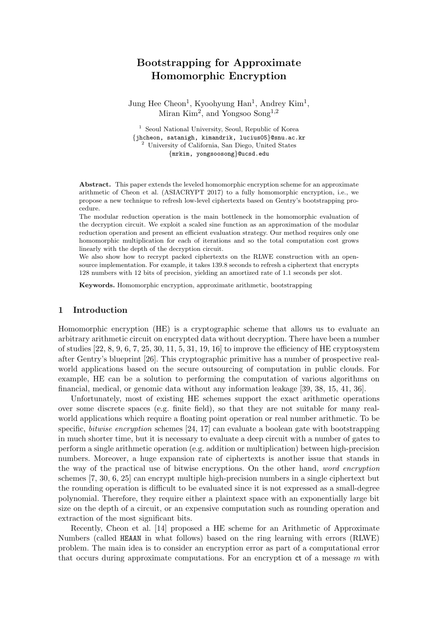# Bootstrapping for Approximate Homomorphic Encryption

Jung Hee Cheon<sup>1</sup>, Kyoohyung Han<sup>1</sup>, Andrey Kim<sup>1</sup>, Miran Kim<sup>2</sup>, and Yongsoo Song<sup>1,2</sup>

<sup>1</sup> Seoul National University, Seoul, Republic of Korea {jhcheon, satanigh, kimandrik, lucius05}@snu.ac.kr <sup>2</sup> University of California, San Diego, United States {mrkim, yongsoosong}@ucsd.edu

Abstract. This paper extends the leveled homomorphic encryption scheme for an approximate arithmetic of Cheon et al. (ASIACRYPT 2017) to a fully homomorphic encryption, i.e., we propose a new technique to refresh low-level ciphertexts based on Gentry's bootstrapping procedure.

The modular reduction operation is the main bottleneck in the homomorphic evaluation of the decryption circuit. We exploit a scaled sine function as an approximation of the modular reduction operation and present an efficient evaluation strategy. Our method requires only one homomorphic multiplication for each of iterations and so the total computation cost grows linearly with the depth of the decryption circuit.

We also show how to recrypt packed ciphertexts on the RLWE construction with an opensource implementation. For example, it takes 139.8 seconds to refresh a ciphertext that encrypts 128 numbers with 12 bits of precision, yielding an amortized rate of 1.1 seconds per slot.

Keywords. Homomorphic encryption, approximate arithmetic, bootstrapping

## 1 Introduction

Homomorphic encryption (HE) is a cryptographic scheme that allows us to evaluate an arbitrary arithmetic circuit on encrypted data without decryption. There have been a number of studies  $[22, 8, 9, 6, 7, 25, 30, 11, 5, 31, 19, 16]$  to improve the efficiency of HE cryptosystem after Gentry's blueprint [26]. This cryptographic primitive has a number of prospective realworld applications based on the secure outsourcing of computation in public clouds. For example, HE can be a solution to performing the computation of various algorithms on financial, medical, or genomic data without any information leakage [39, 38, 15, 41, 36].

Unfortunately, most of existing HE schemes support the exact arithmetic operations over some discrete spaces (e.g. finite field), so that they are not suitable for many realworld applications which require a floating point operation or real number arithmetic. To be specific, bitwise encryption schemes [24, 17] can evaluate a boolean gate with bootstrapping in much shorter time, but it is necessary to evaluate a deep circuit with a number of gates to perform a single arithmetic operation (e.g. addition or multiplication) between high-precision numbers. Moreover, a huge expansion rate of ciphertexts is another issue that stands in the way of the practical use of bitwise encryptions. On the other hand, word encryption schemes [7, 30, 6, 25] can encrypt multiple high-precision numbers in a single ciphertext but the rounding operation is difficult to be evaluated since it is not expressed as a small-degree polynomial. Therefore, they require either a plaintext space with an exponentially large bit size on the depth of a circuit, or an expensive computation such as rounding operation and extraction of the most significant bits.

Recently, Cheon et al. [14] proposed a HE scheme for an Arithmetic of Approximate Numbers (called HEAAN in what follows) based on the ring learning with errors (RLWE) problem. The main idea is to consider an encryption error as part of a computational error that occurs during approximate computations. For an encryption  $ct$  of a message m with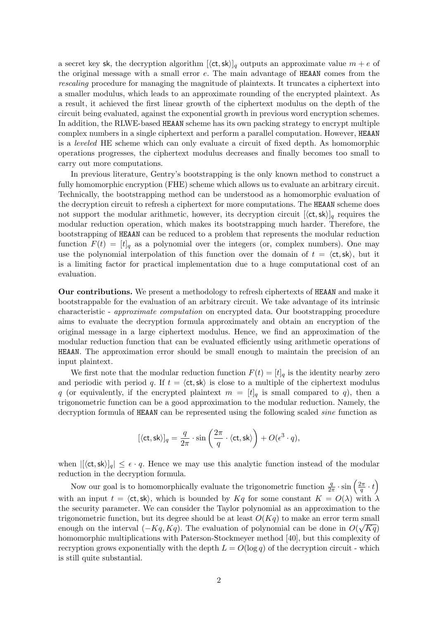a secret key sk, the decryption algorithm  $[\langle ct, sk \rangle]_q$  outputs an approximate value  $m + e$  of the original message with a small error e. The main advantage of HEAAN comes from the rescaling procedure for managing the magnitude of plaintexts. It truncates a ciphertext into a smaller modulus, which leads to an approximate rounding of the encrypted plaintext. As a result, it achieved the first linear growth of the ciphertext modulus on the depth of the circuit being evaluated, against the exponential growth in previous word encryption schemes. In addition, the RLWE-based HEAAN scheme has its own packing strategy to encrypt multiple complex numbers in a single ciphertext and perform a parallel computation. However, HEAAN is a leveled HE scheme which can only evaluate a circuit of fixed depth. As homomorphic operations progresses, the ciphertext modulus decreases and finally becomes too small to carry out more computations.

In previous literature, Gentry's bootstrapping is the only known method to construct a fully homomorphic encryption (FHE) scheme which allows us to evaluate an arbitrary circuit. Technically, the bootstrapping method can be understood as a homomorphic evaluation of the decryption circuit to refresh a ciphertext for more computations. The HEAAN scheme does not support the modular arithmetic, however, its decryption circuit  $[\langle ct, sk \rangle]_q$  requires the modular reduction operation, which makes its bootstrapping much harder. Therefore, the bootstrapping of HEAAN can be reduced to a problem that represents the modular reduction function  $F(t) = [t]_q$  as a polynomial over the integers (or, complex numbers). One may use the polynomial interpolation of this function over the domain of  $t = \langle ct, sk \rangle$ , but it is a limiting factor for practical implementation due to a huge computational cost of an evaluation.

Our contributions. We present a methodology to refresh ciphertexts of HEAAN and make it bootstrappable for the evaluation of an arbitrary circuit. We take advantage of its intrinsic characteristic - approximate computation on encrypted data. Our bootstrapping procedure aims to evaluate the decryption formula approximately and obtain an encryption of the original message in a large ciphertext modulus. Hence, we find an approximation of the modular reduction function that can be evaluated efficiently using arithmetic operations of HEAAN. The approximation error should be small enough to maintain the precision of an input plaintext.

We first note that the modular reduction function  $F(t) = [t]_q$  is the identity nearby zero and periodic with period q. If  $t = \langle ct, sk \rangle$  is close to a multiple of the ciphertext modulus q (or equivalently, if the encrypted plaintext  $m = [t]_q$  is small compared to q), then a trigonometric function can be a good approximation to the modular reduction. Namely, the decryption formula of HEAAN can be represented using the following scaled sine function as

$$
[\langle \text{ct}, \text{sk} \rangle]_q = \frac{q}{2\pi} \cdot \sin\left(\frac{2\pi}{q} \cdot \langle \text{ct}, \text{sk} \rangle\right) + O(\epsilon^3 \cdot q),
$$

when  $|[\langle ct, sk \rangle]_q| \leq \epsilon \cdot q$ . Hence we may use this analytic function instead of the modular reduction in the decryption formula.

Now our goal is to homomorphically evaluate the trigonometric function  $\frac{q}{2\pi} \cdot \sin\left(\frac{2\pi}{q}\right)$  $\frac{2\pi}{q}\cdot t\Big)$ with an input  $t = \langle ct, sk \rangle$ , which is bounded by  $Kq$  for some constant  $K = O(\lambda)$  with  $\lambda$ the security parameter. We can consider the Taylor polynomial as an approximation to the trigonometric function, but its degree should be at least  $O(Kq)$  to make an error term small enough on the interval  $(-Kq, Kq)$ . The evaluation of polynomial can be done in  $O(\sqrt{Kq})$ homomorphic multiplications with Paterson-Stockmeyer method [40], but this complexity of recryption grows exponentially with the depth  $L = O(\log q)$  of the decryption circuit - which is still quite substantial.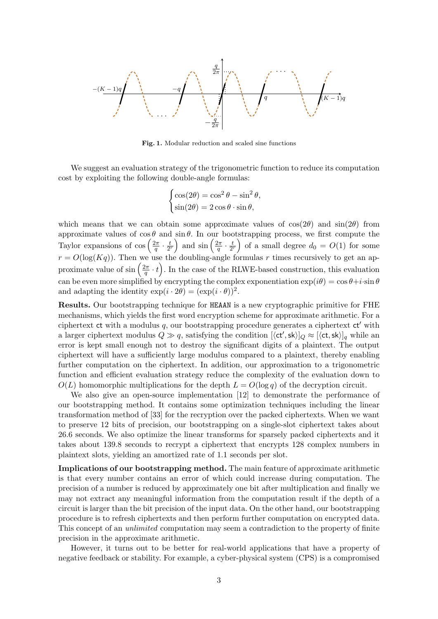

Fig. 1. Modular reduction and scaled sine functions

We suggest an evaluation strategy of the trigonometric function to reduce its computation cost by exploiting the following double-angle formulas:

$$
\begin{cases} \cos(2\theta) = \cos^2 \theta - \sin^2 \theta, \\ \sin(2\theta) = 2 \cos \theta \cdot \sin \theta, \end{cases}
$$

which means that we can obtain some approximate values of  $cos(2\theta)$  and  $sin(2\theta)$  from approximate values of  $\cos \theta$  and  $\sin \theta$ . In our bootstrapping process, we first compute the Taylor expansions of  $\cos\left(\frac{2\pi}{a}\right)$  $\frac{2\pi}{q}\cdot\frac{t}{2^{\pi}}$  $\frac{t}{2^r}$  and  $\sin\left(\frac{2\pi}{q}\right)$  $\frac{2\pi}{q}\cdot\frac{t}{2^{\pi}}$  $\left(\frac{t}{2^{r}}\right)$  of a small degree  $d_0 = O(1)$  for some  $r = O(\log(Kq))$ . Then we use the doubling-angle formulas r times recursively to get an approximate value of  $\sin\left(\frac{2\pi}{a}\right)$  $(\frac{2\pi}{q} \cdot t)$ . In the case of the RLWE-based construction, this evaluation can be even more simplified by encrypting the complex exponentiation  $\exp(i\theta) = \cos\theta + i\cdot\sin\theta$ and adapting the identity  $\exp(i \cdot 2\theta) = (\exp(i \cdot \theta))^2$ .

Results. Our bootstrapping technique for HEAAN is a new cryptographic primitive for FHE mechanisms, which yields the first word encryption scheme for approximate arithmetic. For a ciphertext ct with a modulus  $q$ , our bootstrapping procedure generates a ciphertext  $ct'$  with a larger ciphertext modulus  $Q \gg q$ , satisfying the condition  $[\langle ct', sk \rangle]_Q \approx [\langle ct, sk \rangle]_q$  while an error is kept small enough not to destroy the significant digits of a plaintext. The output ciphertext will have a sufficiently large modulus compared to a plaintext, thereby enabling further computation on the ciphertext. In addition, our approximation to a trigonometric function and efficient evaluation strategy reduce the complexity of the evaluation down to  $O(L)$  homomorphic multiplications for the depth  $L = O(\log q)$  of the decryption circuit.

We also give an open-source implementation [12] to demonstrate the performance of our bootstrapping method. It contains some optimization techniques including the linear transformation method of [33] for the recryption over the packed ciphertexts. When we want to preserve 12 bits of precision, our bootstrapping on a single-slot ciphertext takes about 26.6 seconds. We also optimize the linear transforms for sparsely packed ciphertexts and it takes about 139.8 seconds to recrypt a ciphertext that encrypts 128 complex numbers in plaintext slots, yielding an amortized rate of 1.1 seconds per slot.

Implications of our bootstrapping method. The main feature of approximate arithmetic is that every number contains an error of which could increase during computation. The precision of a number is reduced by approximately one bit after multiplication and finally we may not extract any meaningful information from the computation result if the depth of a circuit is larger than the bit precision of the input data. On the other hand, our bootstrapping procedure is to refresh ciphertexts and then perform further computation on encrypted data. This concept of an unlimited computation may seem a contradiction to the property of finite precision in the approximate arithmetic.

However, it turns out to be better for real-world applications that have a property of negative feedback or stability. For example, a cyber-physical system (CPS) is a compromised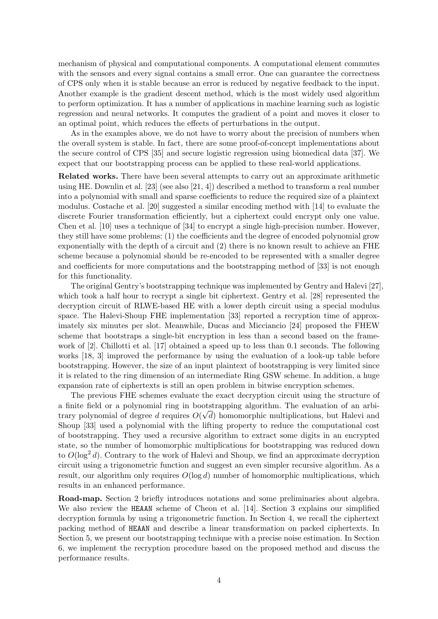mechanism of physical and computational components. A computational element commutes with the sensors and every signal contains a small error. One can guarantee the correctness of CPS only when it is stable because an error is reduced by negative feedback to the input. Another example is the gradient descent method, which is the most widely used algorithm to perform optimization. It has a number of applications in machine learning such as logistic regression and neural networks. It computes the gradient of a point and moves it closer to an optimal point, which reduces the effects of perturbations in the output.

As in the examples above, we do not have to worry about the precision of numbers when the overall system is stable. In fact, there are some proof-of-concept implementations about the secure control of CPS [35] and secure logistic regression using biomedical data [37]. We expect that our bootstrapping process can be applied to these real-world applications.

Related works. There have been several attempts to carry out an approximate arithmetic using HE. Downlin et al. [23] (see also [21, 4]) described a method to transform a real number into a polynomial with small and sparse coefficients to reduce the required size of a plaintext modulus. Costache et al. [20] suggested a similar encoding method with [14] to evaluate the discrete Fourier transformation efficiently, but a ciphertext could encrypt only one value. Chen et al. [10] uses a technique of [34] to encrypt a single high-precision number. However, they still have some problems: (1) the coefficients and the degree of encoded polynomial grow exponentially with the depth of a circuit and (2) there is no known result to achieve an FHE scheme because a polynomial should be re-encoded to be represented with a smaller degree and coefficients for more computations and the bootstrapping method of [33] is not enough for this functionality.

The original Gentry's bootstrapping technique was implemented by Gentry and Halevi [27], which took a half hour to recrypt a single bit ciphertext. Gentry et al. [28] represented the decryption circuit of RLWE-based HE with a lower depth circuit using a special modulus space. The Halevi-Shoup FHE implementation [33] reported a recryption time of approximately six minutes per slot. Meanwhile, Ducas and Micciancio [24] proposed the FHEW scheme that bootstraps a single-bit encryption in less than a second based on the framework of [2]. Chillotti et al. [17] obtained a speed up to less than 0.1 seconds. The following works [18, 3] improved the performance by using the evaluation of a look-up table before bootstrapping. However, the size of an input plaintext of bootstrapping is very limited since it is related to the ring dimension of an intermediate Ring GSW scheme. In addition, a huge expansion rate of ciphertexts is still an open problem in bitwise encryption schemes.

The previous FHE schemes evaluate the exact decryption circuit using the structure of a finite field or a polynomial ring in bootstrapping algorithm. The evaluation of an arbitrary polynomial of degree d requires  $O(\sqrt{d})$  homomorphic multiplications, but Halevi and Shoup [33] used a polynomial with the lifting property to reduce the computational cost of bootstrapping. They used a recursive algorithm to extract some digits in an encrypted state, so the number of homomorphic multiplications for bootstrapping was reduced down to  $O(\log^2 d)$ . Contrary to the work of Halevi and Shoup, we find an approximate decryption circuit using a trigonometric function and suggest an even simpler recursive algorithm. As a result, our algorithm only requires  $O(\log d)$  number of homomorphic multiplications, which results in an enhanced performance.

Road-map. Section 2 briefly introduces notations and some preliminaries about algebra. We also review the HEAAN scheme of Cheon et al. [14]. Section 3 explains our simplified decryption formula by using a trigonometric function. In Section 4, we recall the ciphertext packing method of HEAAN and describe a linear transformation on packed ciphertexts. In Section 5, we present our bootstrapping technique with a precise noise estimation. In Section 6, we implement the recryption procedure based on the proposed method and discuss the performance results.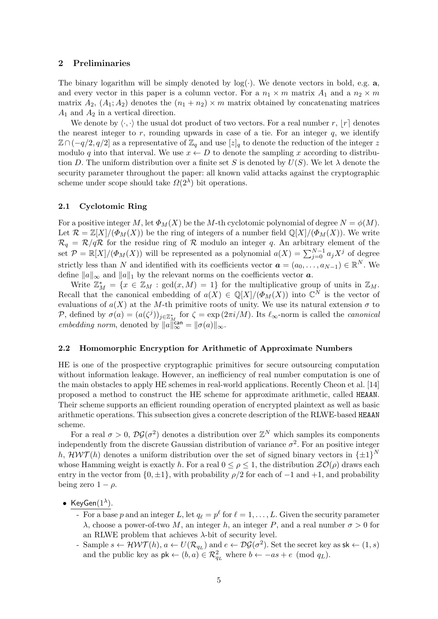#### 2 Preliminaries

The binary logarithm will be simply denoted by  $log(.)$ . We denote vectors in bold, e.g. a, and every vector in this paper is a column vector. For a  $n_1 \times m$  matrix  $A_1$  and a  $n_2 \times m$ matrix  $A_2$ ,  $(A_1; A_2)$  denotes the  $(n_1 + n_2) \times m$  matrix obtained by concatenating matrices  $A_1$  and  $A_2$  in a vertical direction.

We denote by  $\langle \cdot, \cdot \rangle$  the usual dot product of two vectors. For a real number r,  $|r|$  denotes the nearest integer to  $r$ , rounding upwards in case of a tie. For an integer  $q$ , we identify  $\mathbb{Z}\cap(-q/2,q/2]$  as a representative of  $\mathbb{Z}_q$  and use  $[z]_q$  to denote the reduction of the integer z modulo q into that interval. We use  $x \leftarrow D$  to denote the sampling x according to distribution D. The uniform distribution over a finite set S is denoted by  $U(S)$ . We let  $\lambda$  denote the security parameter throughout the paper: all known valid attacks against the cryptographic scheme under scope should take  $\Omega(2^{\lambda})$  bit operations.

### 2.1 Cyclotomic Ring

For a positive integer M, let  $\Phi_M(X)$  be the M-th cyclotomic polynomial of degree  $N = \phi(M)$ . Let  $\mathcal{R} = \mathbb{Z}[X]/(\Phi_M(X))$  be the ring of integers of a number field  $\mathbb{Q}[X]/(\Phi_M(X))$ . We write  $\mathcal{R}_q = \mathcal{R}/q\mathcal{R}$  for the residue ring of  $\mathcal R$  modulo an integer q. An arbitrary element of the set  $\mathcal{P} = \mathbb{R}[X]/(\Phi_M(X))$  will be represented as a polynomial  $a(X) = \sum_{j=0}^{N-1} a_j X^j$  of degree strictly less than N and identified with its coefficients vector  $\boldsymbol{a} = (a_0, \ldots, a_{N-1}) \in \mathbb{R}^N$ . We define  $||a||_{\infty}$  and  $||a||_1$  by the relevant norms on the coefficients vector  $\boldsymbol{a}$ .

Write  $\mathbb{Z}_M^* = \{x \in \mathbb{Z}_M : \gcd(x, M) = 1\}$  for the multiplicative group of units in  $\mathbb{Z}_M$ . Recall that the canonical embedding of  $a(X) \in \mathbb{Q}[X]/(\Phi_M(X))$  into  $\mathbb{C}^N$  is the vector of evaluations of  $a(X)$  at the M-th primitive roots of unity. We use its natural extension  $\sigma$  to P, defined by  $\sigma(a) = (a(\zeta^j))_{j \in \mathbb{Z}_M^*}$  for  $\zeta = \exp(2\pi i/M)$ . Its  $\ell_{\infty}$ -norm is called the *canonical* embedding norm, denoted by  $||a||_{\infty}^{\text{can}} = ||\sigma(a)||_{\infty}$ .

#### 2.2 Homomorphic Encryption for Arithmetic of Approximate Numbers

HE is one of the prospective cryptographic primitives for secure outsourcing computation without information leakage. However, an inefficiency of real number computation is one of the main obstacles to apply HE schemes in real-world applications. Recently Cheon et al. [14] proposed a method to construct the HE scheme for approximate arithmetic, called HEAAN. Their scheme supports an efficient rounding operation of encrypted plaintext as well as basic arithmetic operations. This subsection gives a concrete description of the RLWE-based HEAAN scheme.

For a real  $\sigma > 0$ ,  $\mathcal{DG}(\sigma^2)$  denotes a distribution over  $\mathbb{Z}^N$  which samples its components independently from the discrete Gaussian distribution of variance  $\sigma^2$ . For an positive integer h,  $\mathcal{HWT}(h)$  denotes a uniform distribution over the set of signed binary vectors in  $\{\pm 1\}^N$ whose Hamming weight is exactly h. For a real  $0 \leq \rho \leq 1$ , the distribution  $\mathcal{Z}(\mathcal{O})$  draws each entry in the vector from  $\{0, \pm 1\}$ , with probability  $\rho/2$  for each of  $-1$  and  $+1$ , and probability being zero  $1 - \rho$ .

- KeyGen $(1^{\lambda})$ .
	- For a base p and an integer L, let  $q_\ell = p^\ell$  for  $\ell = 1, \ldots, L$ . Given the security parameter λ, choose a power-of-two M, an integer h, an integer P, and a real number  $σ > 0$  for an RLWE problem that achieves  $\lambda$ -bit of security level.
	- Sample  $s \leftarrow \mathcal{HWT}(h)$ ,  $a \leftarrow U(\mathcal{R}_{q_L})$  and  $e \leftarrow \mathcal{DG}(\sigma^2)$ . Set the secret key as  $\mathsf{sk} \leftarrow (1, s)$ and the public key as  $pk \leftarrow (b, a) \in \mathcal{R}_{q_L}^2$  where  $b \leftarrow -as + e \pmod{q_L}$ .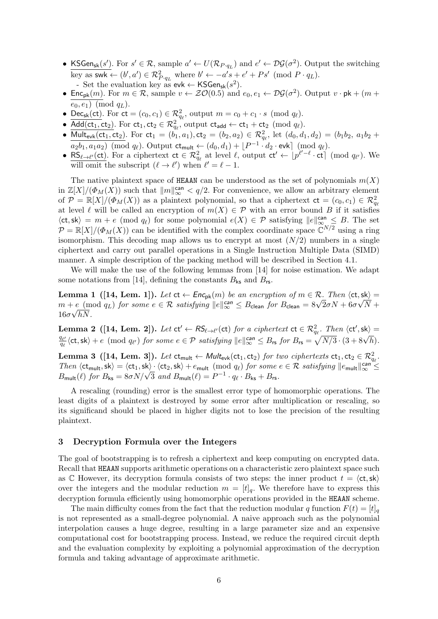- KSGen<sub>sk</sub> $(s')$ . For  $s' \in \mathcal{R}$ , sample  $a' \leftarrow U(\mathcal{R}_{P \cdot q_L})$  and  $e' \leftarrow \mathcal{DG}(\sigma^2)$ . Output the switching key as swk  $\leftarrow (b', a') \in \mathcal{R}_{P \cdot q_L}^2$  where  $b' \leftarrow -a's + e' + Ps' \pmod{P \cdot q_L}$ . - Set the evaluation key as  $evk \leftarrow \text{KSGen}_{sk}(s^2)$ .
- Enc<sub>pk</sub> $(m)$ . For  $m \in \mathcal{R}$ , sample  $v \leftarrow \mathcal{ZO}(0.5)$  and  $e_0, e_1 \leftarrow \mathcal{DG}(\sigma^2)$ . Output  $v \cdot pk + (m +$  $(e_0, e_1)$  (mod  $q_L$ ).
- Dec<sub>sk</sub>(ct). For  $ct = (c_0, c_1) \in \mathcal{R}_{q_\ell}^2$ , output  $m = c_0 + c_1 \cdot s \pmod{q_\ell}$ .
- $\overline{\text{Add}(\text{ct}_1, \text{ct}_2)}$ . For  $\text{ct}_1, \text{ct}_2 \in \mathcal{R}_{q_\ell}^2$ , output  $\text{ct}_{\text{add}} \leftarrow \text{ct}_1 + \text{ct}_2 \pmod{q_\ell}$ .
- Mult<sub>evk</sub>(ct<sub>1</sub>, ct<sub>2</sub>). For ct<sub>1</sub> =  $(b_1, a_1)$ , ct<sub>2</sub> =  $(b_2, a_2) \in \mathcal{R}_{q_\ell}^2$ , let  $(d_0, d_1, d_2) = (b_1b_2, a_1b_2 +$  $a_2b_1, a_1a_2$ ) (mod  $q_\ell$ ). Output  $ct_{\mathsf{mult}} \leftarrow (d_0, d_1) + \lfloor P^{-1} \cdot d_2 \cdot \mathsf{evk} \rfloor \pmod{q_\ell}$ .
- $\overline{\text{RS}_{\ell \to \ell'}(\text{ct})}$ . For a ciphertext  $\text{ct } \in \mathcal{R}_{q_\ell}^2$  at level  $\ell$ , output  $\text{ct } \leftarrow [p^{\ell'-\ell} \cdot \text{ct}] \pmod{q_{\ell'}}$ . We will omit the subscript  $(\ell \to \ell')$  when  $\ell' = \ell - 1$ .

The native plaintext space of HEAAN can be understood as the set of polynomials  $m(X)$ in  $\mathbb{Z}[X]/(\Phi_M(X))$  such that  $\|m\|_{\infty}^{\text{can}} < q/2$ . For convenience, we allow an arbitrary element of  $\mathcal{P} = \mathbb{R}[X]/(\Phi_M(X))$  as a plaintext polynomial, so that a ciphertext  $ct = (c_0, c_1) \in \mathcal{R}_{q_\ell}^2$ at level  $\ell$  will be called an encryption of  $m(X) \in \mathcal{P}$  with an error bound B if it satisfies  $\langle ct, sk \rangle = m + e \pmod{q_\ell}$  for some polynomial  $e(X) \in \mathcal{P}$  satisfying  $||e||_{\infty}^{\text{can}} \leq B$ . The set  $\mathcal{P} = \mathbb{R}[X]/(\Phi_M(X))$  can be identified with the complex coordinate space  $\mathbb{C}^{N/2}$  using a ring isomorphism. This decoding map allows us to encrypt at most  $(N/2)$  numbers in a single ciphertext and carry out parallel operations in a Single Instruction Multiple Data (SIMD) manner. A simple description of the packing method will be described in Section 4.1.

We will make the use of the following lemmas from [14] for noise estimation. We adapt some notations from [14], defining the constants  $B_{\mathsf{ks}}$  and  $B_{\mathsf{rs}}$ .

**Lemma 1** ([14, Lem. 1]). Let  $ct \leftarrow Enc_{pk}(m)$  be an encryption of  $m \in \mathcal{R}$ . Then  $\langle ct, sk \rangle =$ **Lemma 1** (14, Lem. 1). Let  $C \leftarrow Enc_{pk}(m)$  be an encryption of  $m \in \mathcal{R}$ . Then  $\langle C, Sk \rangle = m + e \pmod{q_L}$  for some  $e \in \mathcal{R}$  satisfying  $||e||_{\infty}^{can} \leq B_{clean}$  for  $B_{clean} = 8\sqrt{2}\sigma N + 6\sigma\sqrt{N} +$  $16\sigma\sqrt{hN}$ .

**Lemma 2** ([14, Lem. 2]). Let  $ct' \leftarrow RS_{\ell \rightarrow \ell'}(ct)$  for a ciphertext  $ct \in \mathcal{R}_{q_{\ell}}^2$ . Then  $\langle ct', sk \rangle =$ **Definition** 2 ([14, **Definition**) for some  $e \in \mathcal{P}$  satisfying  $||e||_{\infty}^{\text{can}} \leq B_{\text{rs}}$  for  $B_{\text{rs}} = \sqrt{N/3} \cdot (3 + 8\sqrt{h})$ .

Lemma 3 ([14, Lem. 3]). Let  $\mathsf{ct}_\mathsf{mult} \leftarrow \mathsf{Mult}_{\mathsf{evk}}(\mathsf{ct}_1,\mathsf{ct}_2)$  for two ciphertexts  $\mathsf{ct}_1, \mathsf{ct}_2 \in \mathcal{R}_{q_\ell}^2$ . Then  $\langle \text{ct}_{\text{mult}}, \text{sk} \rangle = \langle \text{ct}_1, \text{sk} \rangle \cdot \langle \text{ct}_2, \text{sk} \rangle + e_{\text{mult}} \pmod{q_\ell}$  for some  $e \in \mathcal{R}$  satisfying  $||e_{\text{mult}}||_{\infty}^{\text{can}} \le B_{\text{mult}}(\ell)$  for  $B_{\text{ks}} = 8\sigma N/\sqrt{3}$  and  $B_{\text{mult}}(\ell) = P^{-1} \cdot q_\ell \cdot B_{\text{ks}} + B_{\text{rs}}$ .

A rescaling (rounding) error is the smallest error type of homomorphic operations. The least digits of a plaintext is destroyed by some error after multiplication or rescaling, so its significand should be placed in higher digits not to lose the precision of the resulting plaintext.

#### 3 Decryption Formula over the Integers

The goal of bootstrapping is to refresh a ciphertext and keep computing on encrypted data. Recall that HEAAN supports arithmetic operations on a characteristic zero plaintext space such as C However, its decryption formula consists of two steps: the inner product  $t = \langle ct, sk \rangle$ over the integers and the modular reduction  $m = [t]_q$ . We therefore have to express this decryption formula efficiently using homomorphic operations provided in the HEAAN scheme.

The main difficulty comes from the fact that the reduction modular q function  $F(t) = [t]_q$ is not represented as a small-degree polynomial. A naive approach such as the polynomial interpolation causes a huge degree, resulting in a large parameter size and an expensive computational cost for bootstrapping process. Instead, we reduce the required circuit depth and the evaluation complexity by exploiting a polynomial approximation of the decryption formula and taking advantage of approximate arithmetic.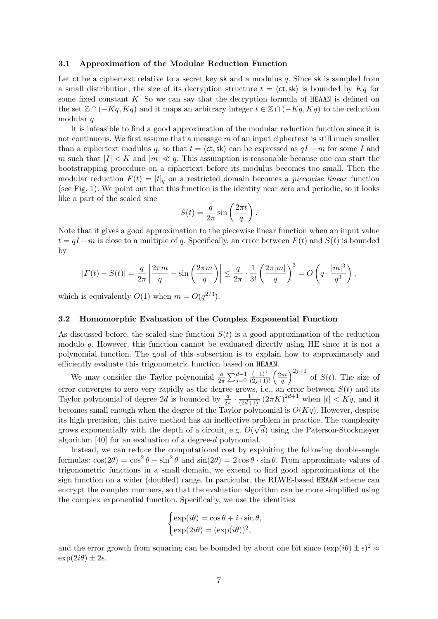#### 3.1 Approximation of the Modular Reduction Function

Let  $ct$  be a ciphertext relative to a secret key sk and a modulus q. Since sk is sampled from a small distribution, the size of its decryption structure  $t = \langle ct, sk \rangle$  is bounded by  $Kq$  for some fixed constant  $K$ . So we can say that the decryption formula of HEAAN is defined on the set  $\mathbb{Z} \cap (-Kq, Kq)$  and it maps an arbitrary integer  $t \in \mathbb{Z} \cap (-Kq, Kq)$  to the reduction modular q.

It is infeasible to find a good approximation of the modular reduction function since it is not continuous. We first assume that a message  $m$  of an input ciphertext is still much smaller than a ciphertext modulus q, so that  $t = \langle ct, sk \rangle$  can be expressed as  $qI + m$  for some I and m such that  $|I| < K$  and  $|m| \ll q$ . This assumption is reasonable because one can start the bootstrapping procedure on a ciphertext before its modulus becomes too small. Then the modular reduction  $F(t) = [t]_q$  on a restricted domain becomes a *piecewise linear* function (see Fig. 1). We point out that this function is the identity near zero and periodic, so it looks like a part of the scaled sine

$$
S(t) = \frac{q}{2\pi} \sin\left(\frac{2\pi t}{q}\right).
$$

Note that it gives a good approximation to the piecewise linear function when an input value  $t = qI + m$  is close to a multiple of q. Specifically, an error between  $F(t)$  and  $S(t)$  is bounded by

$$
|F(t) - S(t)| = \frac{q}{2\pi} \left| \frac{2\pi m}{q} - \sin\left(\frac{2\pi m}{q}\right) \right| \le \frac{q}{2\pi} \cdot \frac{1}{3!} \left(\frac{2\pi |m|}{q}\right)^3 = O\left(q \cdot \frac{|m|^3}{q^3}\right),
$$

which is equivalently  $O(1)$  when  $m = O(q^{2/3})$ .

## 3.2 Homomorphic Evaluation of the Complex Exponential Function

As discussed before, the scaled sine function  $S(t)$  is a good approximation of the reduction modulo q. However, this function cannot be evaluated directly using HE since it is not a polynomial function. The goal of this subsection is to explain how to approximately and efficiently evaluate this trigonometric function based on HEAAN.

We may consider the Taylor polynomial  $\frac{q}{2\pi} \sum_{j=0}^{d-1}$  $\frac{(-1)^j}{(2j+1)!} \left( \frac{2\pi t}{q} \right)$  $\left(\frac{\pi t}{q}\right)^{2j+1}$  of  $S(t)$ . The size of error converges to zero very rapidly as the degree grows, i.e., an error between  $S(t)$  and its Taylor polynomial of degree 2d is bounded by  $\frac{q}{2\pi} \cdot \frac{1}{(2d+1)!} (2\pi K)^{2d+1}$  when  $|t| < Kq$ , and it becomes small enough when the degree of the Taylor polynomial is  $O(Kq)$ . However, despite its high precision, this naive method has an ineffective problem in practice. The complexity grows exponentially with the depth of a circuit, e.g.  $O(\sqrt{d})$  using the Paterson-Stockmeyer algorithm [40] for an evaluation of a degree-d polynomial.

Instead, we can reduce the computational cost by exploiting the following double-angle formulas:  $\cos(2\theta) = \cos^2 \theta - \sin^2 \theta$  and  $\sin(2\theta) = 2 \cos \theta \cdot \sin \theta$ . From approximate values of trigonometric functions in a small domain, we extend to find good approximations of the sign function on a wider (doubled) range. In particular, the RLWE-based HEAAN scheme can encrypt the complex numbers, so that the evaluation algorithm can be more simplified using the complex exponential function. Specifically, we use the identities

$$
\begin{cases} \exp(i\theta) = \cos\theta + i \cdot \sin\theta, \\ \exp(2i\theta) = (\exp(i\theta))^2, \end{cases}
$$

and the error growth from squaring can be bounded by about one bit since  $(\exp(i\theta) \pm \epsilon)^2 \approx$  $\exp(2i\theta) \pm 2\epsilon.$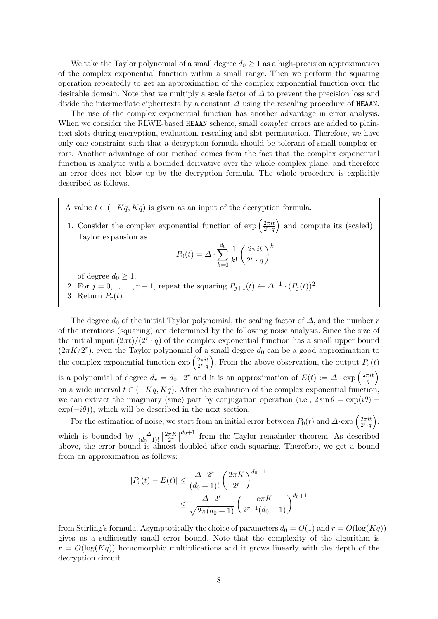We take the Taylor polynomial of a small degree  $d_0 \geq 1$  as a high-precision approximation of the complex exponential function within a small range. Then we perform the squaring operation repeatedly to get an approximation of the complex exponential function over the desirable domain. Note that we multiply a scale factor of  $\Delta$  to prevent the precision loss and divide the intermediate ciphertexts by a constant  $\Delta$  using the rescaling procedure of HEAAN.

The use of the complex exponential function has another advantage in error analysis. When we consider the RLWE-based HEAAN scheme, small *complex* errors are added to plaintext slots during encryption, evaluation, rescaling and slot permutation. Therefore, we have only one constraint such that a decryption formula should be tolerant of small complex errors. Another advantage of our method comes from the fact that the complex exponential function is analytic with a bounded derivative over the whole complex plane, and therefore an error does not blow up by the decryption formula. The whole procedure is explicitly described as follows.

A value  $t \in (-Kq, Kq)$  is given as an input of the decryption formula.

1. Consider the complex exponential function of  $\exp\left(\frac{2\pi i t}{2r\mu}\right)$  $\frac{2\pi i t}{2^r \cdot q}$  and compute its (scaled) Taylor expansion as

$$
P_0(t) = \Delta \cdot \sum_{k=0}^{d_0} \frac{1}{k!} \left(\frac{2\pi i t}{2^r \cdot q}\right)^k
$$

of degree  $d_0 \geq 1$ .

2. For  $j = 0, 1, \ldots, r - 1$ , repeat the squaring  $P_{j+1}(t) \leftarrow \Delta^{-1} \cdot (P_j(t))^2$ . 3. Return  $P_r(t)$ .

The degree  $d_0$  of the initial Taylor polynomial, the scaling factor of  $\Delta$ , and the number r of the iterations (squaring) are determined by the following noise analysis. Since the size of the initial input  $\left(\frac{2\pi t}{2^r \cdot q}\right)$  of the complex exponential function has a small upper bound  $(2\pi K/2^r)$ , even the Taylor polynomial of a small degree  $d_0$  can be a good approximation to the complex exponential function  $\exp\left(\frac{2\pi i t}{2r}\right)$  $\frac{2\pi i t}{2^r \cdot q}$ . From the above observation, the output  $P_r(t)$ is a polynomial of degree  $d_r = d_0 \cdot 2^r$  and it is an approximation of  $E(t) := \Delta \cdot \exp\left(\frac{2\pi i t}{a}\right)$  $\frac{\pi i t}{q}\Big)$ on a wide interval  $t \in (-Kq, Kq)$ . After the evaluation of the complex exponential function, we can extract the imaginary (sine) part by conjugation operation (i.e.,  $2 \sin \theta = \exp(i\theta)$  –  $\exp(-i\theta)$ , which will be described in the next section.

For the estimation of noise, we start from an initial error between  $P_0(t)$  and  $\Delta \cdot \exp\left(\frac{2\pi i t}{2^r a}\right)$  $\frac{2\pi i t}{2^r \cdot q}$ , which is bounded by  $\frac{\Delta}{(d_0+1)!} \left| \frac{2\pi K}{2^r} \right|$  $\frac{\pi K}{2^r}\Big|^{d_0+1}$  from the Taylor remainder theorem. As described above, the error bound is almost doubled after each squaring. Therefore, we get a bound from an approximation as follows:

$$
|P_r(t) - E(t)| \le \frac{\Delta \cdot 2^r}{(d_0 + 1)!} \left(\frac{2\pi K}{2^r}\right)^{d_0 + 1} \le \frac{\Delta \cdot 2^r}{\sqrt{2\pi(d_0 + 1)}} \left(\frac{e\pi K}{2^{r-1}(d_0 + 1)}\right)^{d_0 + 1}
$$

from Stirling's formula. Asymptotically the choice of parameters  $d_0 = O(1)$  and  $r = O(\log(Kq))$ gives us a sufficiently small error bound. Note that the complexity of the algorithm is  $r = O(\log(Kq))$  homomorphic multiplications and it grows linearly with the depth of the decryption circuit.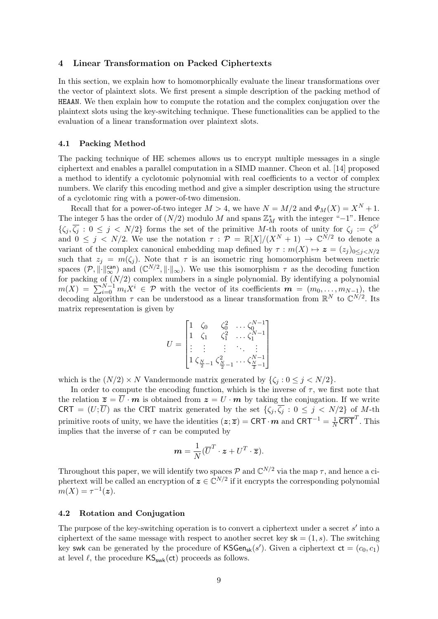#### 4 Linear Transformation on Packed Ciphertexts

In this section, we explain how to homomorphically evaluate the linear transformations over the vector of plaintext slots. We first present a simple description of the packing method of HEAAN. We then explain how to compute the rotation and the complex conjugation over the plaintext slots using the key-switching technique. These functionalities can be applied to the evaluation of a linear transformation over plaintext slots.

#### 4.1 Packing Method

The packing technique of HE schemes allows us to encrypt multiple messages in a single ciphertext and enables a parallel computation in a SIMD manner. Cheon et al. [14] proposed a method to identify a cyclotomic polynomial with real coefficients to a vector of complex numbers. We clarify this encoding method and give a simpler description using the structure of a cyclotomic ring with a power-of-two dimension.

Recall that for a power-of-two integer  $M > 4$ , we have  $N = M/2$  and  $\Phi_M(X) = X^N + 1$ . The integer 5 has the order of  $(N/2)$  modulo M and spans  $\mathbb{Z}_M^*$  with the integer "-1". Hence  $\{\zeta_j,\overline{\zeta_j}:0\leq j\leq N/2\}$  forms the set of the primitive M-th roots of unity for  $\zeta_j:=\zeta^{5^j}$ and  $0 \leq j \leq N/2$ . We use the notation  $\tau : \mathcal{P} = \mathbb{R}[X]/(X^N + 1) \to \mathbb{C}^{N/2}$  to denote a variant of the complex canonical embedding map defined by  $\tau : m(X) \mapsto z = (z_i)_{0 \leq i \leq N/2}$ such that  $z_j = m(\zeta_j)$ . Note that  $\tau$  is an isometric ring homomorphism between metric spaces  $(\mathcal{P},\|\cdot\|_{\infty}^{can})$  and  $(\mathbb{C}^{N/2},\|\cdot\|_{\infty})$ . We use this isomorphism  $\tau$  as the decoding function for packing of  $(N/2)$  complex numbers in a single polynomial. By identifying a polynomial  $m(X) = \sum_{i=0}^{N-1} m_i X^i \in \mathcal{P}$  with the vector of its coefficients  $m = (m_0, \ldots, m_{N-1}),$  the decoding algorithm  $\tau$  can be understood as a linear transformation from  $\mathbb{R}^N$  to  $\mathbb{C}^{N/2}$ . Its matrix representation is given by

$$
U = \begin{bmatrix} 1 & \zeta_0 & \zeta_0^2 & \dots & \zeta_0^{N-1} \\ 1 & \zeta_1 & \zeta_1^2 & \dots & \zeta_1^{N-1} \\ \vdots & \vdots & \vdots & \ddots & \vdots \\ 1 & \zeta_{\frac{N}{2}-1} & \zeta_{\frac{N}{2}-1}^2 & \dots & \zeta_{\frac{N}{2}-1}^{N-1} \end{bmatrix}
$$

which is the  $(N/2) \times N$  Vandermonde matrix generated by  $\{\zeta_j : 0 \le j \le N/2\}$ .

In order to compute the encoding function, which is the inverse of  $\tau$ , we first note that the relation  $\overline{z} = \overline{U} \cdot \overline{m}$  is obtained from  $z = U \cdot \overline{m}$  by taking the conjugation. If we write CRT =  $(U; \overline{U})$  as the CRT matrix generated by the set  $\{\zeta_j, \overline{\zeta_j} : 0 \leq j \leq N/2\}$  of M-th primitive roots of unity, we have the identities  $(z;\overline{z}) = \textsf{CRT} \cdot m$  and  $\textsf{CRT}^{-1} = \frac{1}{N}$  $\frac{1}{N} \overline{\textsf{CRT}}^T$ . This implies that the inverse of  $\tau$  can be computed by

$$
\mathbf{m} = \frac{1}{N}(\overline{U}^T \cdot \mathbf{z} + U^T \cdot \overline{\mathbf{z}}).
$$

Throughout this paper, we will identify two spaces  $P$  and  $\mathbb{C}^{N/2}$  via the map  $\tau$ , and hence a ciphertext will be called an encryption of  $\boldsymbol{z} \in \mathbb{C}^{N/2}$  if it encrypts the corresponding polynomial  $m(X) = \tau^{-1}(z).$ 

#### 4.2 Rotation and Conjugation

The purpose of the key-switching operation is to convert a ciphertext under a secret  $s'$  into a ciphertext of the same message with respect to another secret key  $sk = (1, s)$ . The switching key swk can be generated by the procedure of  $\mathsf{KSGen}_{\mathsf{sk}}(s')$ . Given a ciphertext  $\mathsf{ct} = (c_0, c_1)$ at level  $\ell$ , the procedure  $\mathsf{KS}_{\mathsf{swk}}(\mathsf{ct})$  proceeds as follows.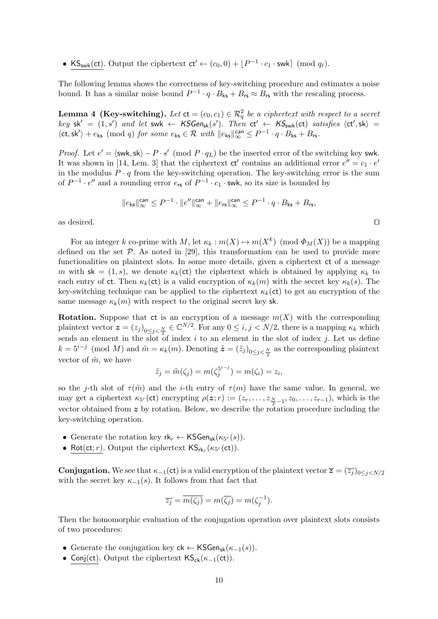• KS<sub>swk</sub>(ct). Output the ciphertext  $ct' \leftarrow (c_0, 0) + \lfloor P^{-1} \cdot c_1 \cdot \text{swk} \rfloor \pmod{q_\ell}$ .

The following lemma shows the correctness of key-switching procedure and estimates a noise bound. It has a similar noise bound  $P^{-1} \cdot q \cdot B_{\text{ks}} + B_{\text{rs}} \approx B_{\text{rs}}$  with the rescaling process.

**Lemma 4 (Key-switching).** Let  $ct = (c_0, c_1) \in \mathcal{R}_q^2$  be a ciphertext with respect to a secret  $key$  sk' =  $(1, s')$  and let swk  $\leftarrow$  KSGen<sub>sk</sub>(s'). Then  $ct' \leftarrow$  KS<sub>swk</sub>(ct) satisfies  $\langle ct', sk \rangle$  =  $\langle ct, sk' \rangle + e_{ks} \pmod{q}$  for some  $e_{ks} \in \mathcal{R}$  with  $||e_{ks}||_{\infty}^{can} \leq P^{-1} \cdot q \cdot B_{ks} + B_{rs}$ .

*Proof.* Let  $e' = \langle \text{swk}, \text{sk} \rangle - P \cdot s' \pmod{P \cdot q_L}$  be the inserted error of the switching key swk. It was shown in [14, Lem. 3] that the ciphertext  $ct'$  contains an additional error  $e'' = c_1 \cdot e'$ in the modulus  $P \cdot q$  from the key-switching operation. The key-switching error is the sum of  $P^{-1} \cdot e''$  and a rounding error  $e_{rs}$  of  $P^{-1} \cdot c_1 \cdot$  swk, so its size is bounded by

$$
\|e_{\mathsf{ks}}\|_{\infty}^{\mathtt{can}} \leq P^{-1} \cdot \|e''\|_{\infty}^{\mathtt{can}} + \|e_{\mathsf{rs}}\|_{\infty}^{\mathtt{can}} \leq P^{-1} \cdot q \cdot B_{\mathsf{ks}} + B_{\mathsf{rs}},
$$

as desired.  $\Box$ 

For an integer k co-prime with M, let  $\kappa_k : m(X) \mapsto m(X^k) \pmod{\Phi_M(X)}$  be a mapping defined on the set  $P$ . As noted in [29], this transformation can be used to provide more functionalities on plaintext slots. In some more details, given a ciphertext ct of a message m with sk = (1, s), we denote  $\kappa_k(\text{ct})$  the ciphertext which is obtained by applying  $\kappa_k$  to each entry of ct. Then  $\kappa_k(\text{ct})$  is a valid encryption of  $\kappa_k(m)$  with the secret key  $\kappa_k(s)$ . The key-switching technique can be applied to the ciphertext  $\kappa_k(\text{ct})$  to get an encryption of the same message  $\kappa_k(m)$  with respect to the original secret key sk.

**Rotation.** Suppose that ct is an encryption of a message  $m(X)$  with the corresponding plaintext vector  $\boldsymbol{z} = (z_j)_{0 \leq j \leq \frac{N}{2}} \in \mathbb{C}^{N/2}$ . For any  $0 \leq i, j \leq N/2$ , there is a mapping  $\kappa_k$  which sends an element in the slot of index i to an element in the slot of index j. Let us define  $k = 5^{i-j} \pmod{M}$  and  $\tilde{m} = \kappa_k(m)$ . Denoting  $\tilde{z} = (\tilde{z}_j)_{0 \le j < \frac{N}{2}}$  as the corresponding plaintext vector of  $\tilde{m}$ , we have

$$
\tilde{z}_j = \tilde{m}(\zeta_j) = m(\zeta_j^{5^{i-j}}) = m(\zeta_i) = z_i,
$$

so the j-th slot of  $\tau(\tilde{m})$  and the i-th entry of  $\tau(m)$  have the same value. In general, we may get a ciphertext  $\kappa_{5^r}(\text{ct})$  encrypting  $\rho(z; r) := (z_r, \ldots, z_{\frac{N}{2}-1}, z_0, \ldots, z_{r-1}),$  which is the vector obtained from  $z$  by rotation. Below, we describe the rotation procedure including the key-switching operation.

- Generate the rotation key  $rk_r \leftarrow \mathsf{KSGen}_{\mathsf{sk}}(\kappa_{5^r}(s)).$
- Rot(ct; *r*). Output the ciphertext  $\mathsf{KS}_{\mathsf{rk}_r}(\kappa_{5^r}(\mathsf{ct}))$ .

**Conjugation.** We see that  $\kappa_{-1}(\text{ct})$  is a valid encryption of the plaintext vector  $\overline{z} = (\overline{z_i})_{0 \le i \le N/2}$ with the secret key  $\kappa_{-1}(s)$ . It follows from that fact that

$$
\overline{z_j} = \overline{m(\zeta_j)} = m(\overline{\zeta_j}) = m(\zeta_j^{-1}).
$$

Then the homomorphic evaluation of the conjugation operation over plaintext slots consists of two procedures:

- Generate the conjugation key  $ck \leftarrow \mathsf{KSGen}_{sk}(\kappa_{-1}(s)).$
- Conj(ct). Output the ciphertext  $\mathsf{KS}_{\mathsf{ck}}(\kappa_{-1}(\mathsf{ct}))$ .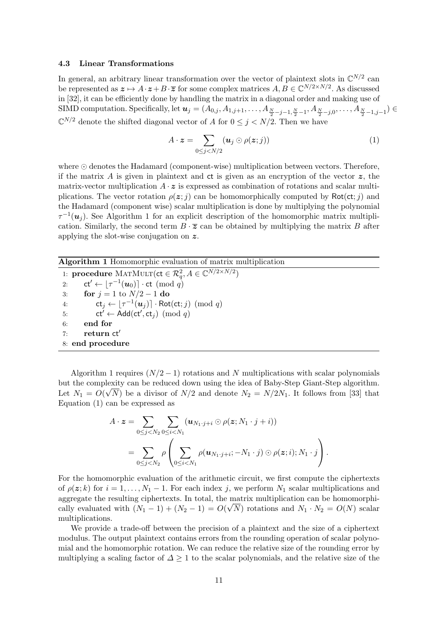#### 4.3 Linear Transformations

In general, an arbitrary linear transformation over the vector of plaintext slots in  $\mathbb{C}^{N/2}$  can be represented as  $z \mapsto A \cdot z + B \cdot \overline{z}$  for some complex matrices  $A, B \in \mathbb{C}^{N/2 \times N/2}$ . As discussed in [32], it can be efficiently done by handling the matrix in a diagonal order and making use of SIMD computation. Specifically, let  $\boldsymbol{u}_j=(A_{0,j},A_{1,j+1},\ldots,A_{\frac{N}{2}-j-1,\frac{N}{2}-1},A_{\frac{N}{2}-j,0},\ldots,A_{\frac{N}{2}-1,j-1})\in$  $\mathbb{C}^{N/2}$  denote the shifted diagonal vector of A for  $0 \leq j \leq N/2$ . Then we have

$$
A \cdot \boldsymbol{z} = \sum_{0 \leq j < N/2} (\boldsymbol{u}_j \odot \rho(\boldsymbol{z};j)) \tag{1}
$$

where  $\odot$  denotes the Hadamard (component-wise) multiplication between vectors. Therefore, if the matrix A is given in plaintext and  $ct$  is given as an encryption of the vector  $z$ , the matrix-vector multiplication  $A \cdot z$  is expressed as combination of rotations and scalar multiplications. The vector rotation  $\rho(z; j)$  can be homomorphically computed by Rot(ct; j) and the Hadamard (component wise) scalar multiplication is done by multiplying the polynomial  $\tau^{-1}(\boldsymbol{u}_j)$ . See Algorithm 1 for an explicit description of the homomorphic matrix multiplication. Similarly, the second term  $B \cdot \overline{z}$  can be obtained by multiplying the matrix B after applying the slot-wise conjugation on z.

| <b>Algorithm 1</b> Homomorphic evaluation of matrix multiplication                            |  |  |  |  |  |  |  |
|-----------------------------------------------------------------------------------------------|--|--|--|--|--|--|--|
| 1: <b>procedure</b> MATMULT( $ct \in \mathcal{R}_a^2, A \in \mathbb{C}^{N/2 \times N/2}$ )    |  |  |  |  |  |  |  |
| 2: $ct' \leftarrow  \tau^{-1}(\boldsymbol{u}_0)  \cdot ct \pmod{q}$                           |  |  |  |  |  |  |  |
| <b>for</b> $j = 1$ to $N/2 - 1$ do<br>3:                                                      |  |  |  |  |  |  |  |
| $ct_i \leftarrow  \tau^{-1}(\boldsymbol{u}_i)  \cdot \text{Rot}(\text{ct}; j) \pmod{q}$<br>4: |  |  |  |  |  |  |  |
| $ct' \leftarrow Add(ct', ct_i) \pmod{q}$<br>5:                                                |  |  |  |  |  |  |  |
| end for<br>6:                                                                                 |  |  |  |  |  |  |  |
| return ct'<br>7:                                                                              |  |  |  |  |  |  |  |
| 8: end procedure                                                                              |  |  |  |  |  |  |  |
|                                                                                               |  |  |  |  |  |  |  |

Algorithm 1 requires  $(N/2 - 1)$  rotations and N multiplications with scalar polynomials but the complexity can be reduced down using the idea of Baby-Step Giant-Step algorithm. √ Let  $N_1 = O(\sqrt{N})$  be a divisor of  $N/2$  and denote  $N_2 = N/2N_1$ . It follows from [33] that Equation (1) can be expressed as

$$
A \cdot \boldsymbol{z} = \sum_{0 \leq j < N_2} \sum_{0 \leq i < N_1} (\boldsymbol{u}_{N_1 \cdot j + i} \odot \rho(\boldsymbol{z}; N_1 \cdot j + i))
$$
\n
$$
= \sum_{0 \leq j < N_2} \rho \left( \sum_{0 \leq i < N_1} \rho(\boldsymbol{u}_{N_1 \cdot j + i}; -N_1 \cdot j) \odot \rho(\boldsymbol{z}; i); N_1 \cdot j \right).
$$

For the homomorphic evaluation of the arithmetic circuit, we first compute the ciphertexts of  $\rho(z; k)$  for  $i = 1, \ldots, N_1 - 1$ . For each index j, we perform  $N_1$  scalar multiplications and aggregate the resulting ciphertexts. In total, the matrix multiplication can be homomorphically evaluated with  $(N_1 - 1) + (N_2 - 1) = O(\sqrt{N})$  rotations and  $N_1 \cdot N_2 = O(N)$  scalar multiplications.

We provide a trade-off between the precision of a plaintext and the size of a ciphertext modulus. The output plaintext contains errors from the rounding operation of scalar polynomial and the homomorphic rotation. We can reduce the relative size of the rounding error by multiplying a scaling factor of  $\Delta \geq 1$  to the scalar polynomials, and the relative size of the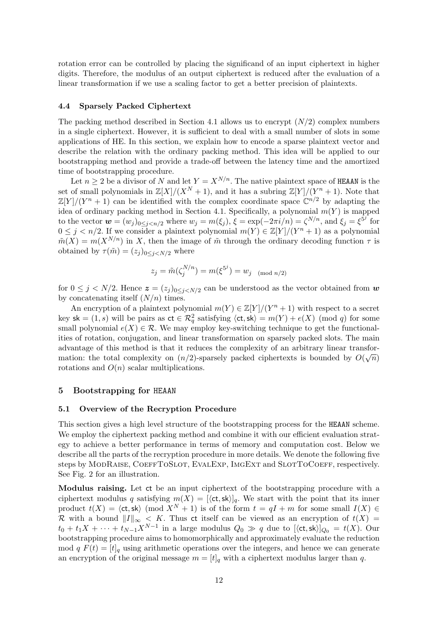rotation error can be controlled by placing the significand of an input ciphertext in higher digits. Therefore, the modulus of an output ciphertext is reduced after the evaluation of a linear transformation if we use a scaling factor to get a better precision of plaintexts.

#### 4.4 Sparsely Packed Ciphertext

The packing method described in Section 4.1 allows us to encrypt  $(N/2)$  complex numbers in a single ciphertext. However, it is sufficient to deal with a small number of slots in some applications of HE. In this section, we explain how to encode a sparse plaintext vector and describe the relation with the ordinary packing method. This idea will be applied to our bootstrapping method and provide a trade-off between the latency time and the amortized time of bootstrapping procedure.

Let  $n \geq 2$  be a divisor of N and let  $Y = X^{N/n}$ . The native plaintext space of HEAAN is the set of small polynomials in  $\mathbb{Z}[X]/(X^N + 1)$ , and it has a subring  $\mathbb{Z}[Y]/(Y^n + 1)$ . Note that  $\mathbb{Z}[Y]/(Y^n + 1)$  can be identified with the complex coordinate space  $\mathbb{C}^{n/2}$  by adapting the idea of ordinary packing method in Section 4.1. Specifically, a polynomial  $m(Y)$  is mapped to the vector  $\mathbf{w} = (w_j)_{0 \leq j < n/2}$  where  $w_j = m(\xi_j)$ ,  $\bar{\xi} = \exp(-2\pi i/n) = \zeta^{N/n}$ , and  $\bar{\xi}_j = \xi^{\bar{5}^j}$  for  $0 \leq j \leq n/2$ . If we consider a plaintext polynomial  $m(Y) \in \mathbb{Z}[Y]/(Y^n + 1)$  as a polynomial  $\tilde{m}(X) = m(X^{N/n})$  in X, then the image of  $\tilde{m}$  through the ordinary decoding function  $\tau$  is obtained by  $\tau(\tilde{m}) = (z_j)_{0 \leq j \leq N/2}$  where

$$
z_j = \tilde{m}(\zeta_j^{N/n}) = m(\xi^{5^j}) = w_j \pmod{n/2}
$$

for  $0 \leq j \lt N/2$ . Hence  $\boldsymbol{z} = (z_j)_{0 \leq j \leq N/2}$  can be understood as the vector obtained from  $\boldsymbol{w}$ by concatenating itself  $(N/n)$  times.

An encryption of a plaintext polynomial  $m(Y) \in \mathbb{Z}[Y]/(Y^n + 1)$  with respect to a secret key sk =  $(1, s)$  will be pairs as  $ct \in \mathcal{R}_q^2$  satisfying  $\langle ct, sk \rangle = m(Y) + e(X) \pmod{q}$  for some small polynomial  $e(X) \in \mathcal{R}$ . We may employ key-switching technique to get the functionalities of rotation, conjugation, and linear transformation on sparsely packed slots. The main advantage of this method is that it reduces the complexity of an arbitrary linear transformation: the total complexity on  $(n/2)$ -sparsely packed ciphertexts is bounded by  $O(\sqrt{n})$ rotations and  $O(n)$  scalar multiplications.

#### 5 Bootstrapping for HEAAN

#### 5.1 Overview of the Recryption Procedure

This section gives a high level structure of the bootstrapping process for the HEAAN scheme. We employ the ciphertext packing method and combine it with our efficient evaluation strategy to achieve a better performance in terms of memory and computation cost. Below we describe all the parts of the recryption procedure in more details. We denote the following five steps by ModRaise, CoeffToSlot, EvalExp, ImgExt and SlotToCoeff, respectively. See Fig. 2 for an illustration.

Modulus raising. Let ct be an input ciphertext of the bootstrapping procedure with a ciphertext modulus q satisfying  $m(X) = [\langle \text{ct}, \text{sk} \rangle]_q$ . We start with the point that its inner product  $t(X) = \langle ct, sk \rangle$  (mod  $X^N + 1$ ) is of the form  $t = qI + m$  for some small  $I(X) \in$ R with a bound  $||I||_{\infty} < K$ . Thus ct itself can be viewed as an encryption of  $t(X) =$  $t_0 + t_1 X + \cdots + t_{N-1} X^{N-1}$  in a large modulus  $Q_0 \gg q$  due to  $[\langle \text{ct}, \text{sk} \rangle]_{Q_0} = t(X)$ . Our bootstrapping procedure aims to homomorphically and approximately evaluate the reduction mod q  $F(t) = [t]_q$  using arithmetic operations over the integers, and hence we can generate an encryption of the original message  $m = [t]_q$  with a ciphertext modulus larger than q.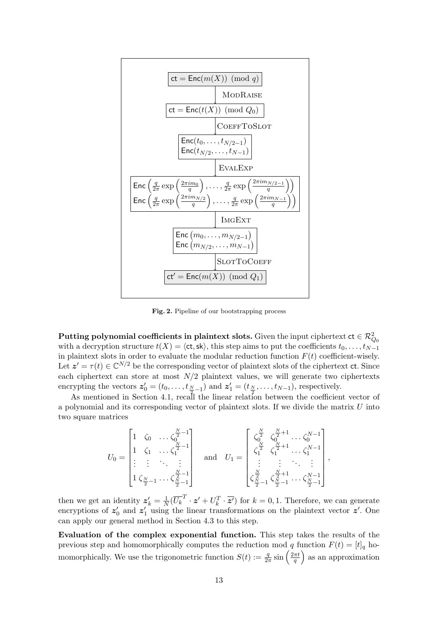

Fig. 2. Pipeline of our bootstrapping process

 ${\rm Putting~polynomial~coefficients~ in~plaintext~ slots.}$  Given the input ciphertext  ${\rm ct}\in\mathcal{R}^2_{Q_0}$ with a decryption structure  $t(X) = \langle ct, sk \rangle$ , this step aims to put the coefficients  $t_0, \ldots, t_{N-1}$ in plaintext slots in order to evaluate the modular reduction function  $F(t)$  coefficient-wisely. Let  $z' = \tau(t) \in \mathbb{C}^{N/2}$  be the corresponding vector of plaintext slots of the ciphertext ct. Since each ciphertext can store at most  $N/2$  plaintext values, we will generate two ciphertexts encrypting the vectors  $\mathbf{z}'_0 = (t_0, \ldots, t_{\frac{N}{2}-1})$  and  $\mathbf{z}'_1 = (t_{\frac{N}{2}}, \ldots, t_{N-1})$ , respectively.

As mentioned in Section 4.1, recall the linear relation between the coefficient vector of a polynomial and its corresponding vector of plaintext slots. If we divide the matrix  $U$  into two square matrices

$$
U_0 = \begin{bmatrix} 1 & \zeta_0 & \dots & \zeta_0^{\frac{N}{2}-1} \\ 1 & \zeta_1 & \dots & \zeta_1^{\frac{N}{2}-1} \\ \vdots & \vdots & \ddots & \vdots \\ 1 & \zeta_{\frac{N}{2}-1} & \dots & \zeta_{\frac{N}{2}-1}^{\frac{N}{2}-1} \end{bmatrix} \quad \text{and} \quad U_1 = \begin{bmatrix} \zeta_0^{\frac{N}{2}} & \zeta_0^{\frac{N}{2}+1} & \dots & \zeta_0^{N-1} \\ \zeta_1^{\frac{N}{2}} & \zeta_1^{\frac{N}{2}+1} & \dots & \zeta_1^{N-1} \\ \vdots & \vdots & \ddots & \vdots \\ \zeta_{\frac{N}{2}-1}^{\frac{N}{2}} & \zeta_{\frac{N}{2}-1}^{\frac{N}{2}+1} & \dots & \zeta_{\frac{N}{2}-1}^{N-1} \end{bmatrix},
$$

then we get an identity  $z'_{k} = \frac{1}{N}$  $\frac{1}{N}(\overline{U_k}^T \cdot \mathbf{z}' + U_k^T \cdot \overline{\mathbf{z}'})$  for  $k = 0, 1$ . Therefore, we can generate encryptions of  $z'_0$  and  $z'_1$  using the linear transformations on the plaintext vector  $z'$ . One can apply our general method in Section 4.3 to this step.

Evaluation of the complex exponential function. This step takes the results of the previous step and homomorphically computes the reduction mod q function  $F(t) = [t]_q$  homomorphically. We use the trigonometric function  $S(t) := \frac{q}{2\pi} \sin\left(\frac{2\pi t}{q}\right)$  $\left(\frac{\pi t}{q}\right)$  as an approximation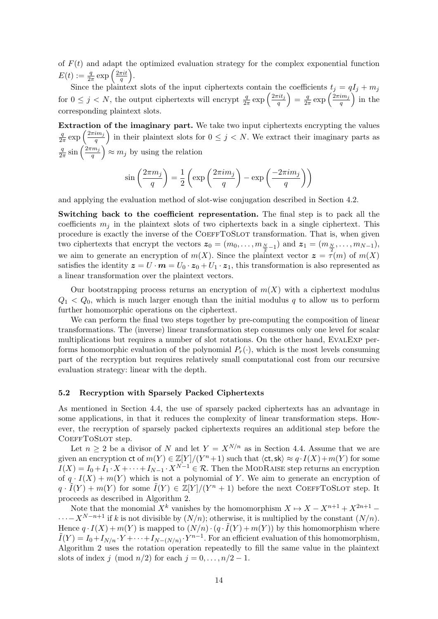of  $F(t)$  and adapt the optimized evaluation strategy for the complex exponential function  $E(t):=\frac{q}{2\pi}\exp\left(\frac{2\pi i t}{q}\right)$  $\frac{\pi i t}{q}\Big).$ 

Since the plaintext slots of the input ciphertexts contain the coefficients  $t_j = qI_j + m_j$ for  $0 \leq j \lt N$ , the output ciphertexts will encrypt  $\frac{q}{2\pi} \exp\left(\frac{2\pi i t_j}{q}\right)$  $\frac{q^{rit}j}{q}\Big) = \frac{q}{2\pi}$  $rac{q}{2\pi}$  exp  $\left(\frac{2\pi i m_j}{q}\right)$  $\frac{im_j}{q}$  in the corresponding plaintext slots.

Extraction of the imaginary part. We take two input ciphertexts encrypting the values q  $rac{q}{2\pi}$  exp  $\left(\frac{2\pi i m_j}{q}\right)$  $\left(\frac{im_j}{q}\right)$  in their plaintext slots for  $0 \leq j \leq N$ . We extract their imaginary parts as q  $rac{q}{2\pi}$  sin  $\left(\frac{2\pi m_j}{q}\right)$  $\left(\frac{m_j}{q}\right) \approx m_j$  by using the relation

$$
\sin\left(\frac{2\pi m_j}{q}\right) = \frac{1}{2}\left(\exp\left(\frac{2\pi i m_j}{q}\right) - \exp\left(\frac{-2\pi i m_j}{q}\right)\right)
$$

and applying the evaluation method of slot-wise conjugation described in Section 4.2.

Switching back to the coefficient representation. The final step is to pack all the coefficients  $m_i$  in the plaintext slots of two ciphertexts back in a single ciphertext. This procedure is exactly the inverse of the COEFFTOSLOT transformation. That is, when given two ciphertexts that encrypt the vectors  $z_0 = (m_0, \ldots, m_{\frac{N}{2}-1})$  and  $z_1 = (m_{\frac{N}{2}}, \ldots, m_{N-1}),$ we aim to generate an encryption of  $m(X)$ . Since the plaintext vector  $z = \tau(m)$  of  $m(X)$ satisfies the identity  $z = U \cdot m = U_0 \cdot z_0 + U_1 \cdot z_1$ , this transformation is also represented as a linear transformation over the plaintext vectors.

Our bootstrapping process returns an encryption of  $m(X)$  with a ciphertext modulus  $Q_1 < Q_0$ , which is much larger enough than the initial modulus q to allow us to perform further homomorphic operations on the ciphertext.

We can perform the final two steps together by pre-computing the composition of linear transformations. The (inverse) linear transformation step consumes only one level for scalar multiplications but requires a number of slot rotations. On the other hand, EVALEXP performs homomorphic evaluation of the polynomial  $P_r(\cdot)$ , which is the most levels consuming part of the recryption but requires relatively small computational cost from our recursive evaluation strategy: linear with the depth.

#### 5.2 Recryption with Sparsely Packed Ciphertexts

As mentioned in Section 4.4, the use of sparsely packed ciphertexts has an advantage in some applications, in that it reduces the complexity of linear transformation steps. However, the recryption of sparsely packed ciphertexts requires an additional step before the COEFFTOSLOT step.

Let  $n \geq 2$  be a divisor of N and let  $Y = X^{N/n}$  as in Section 4.4. Assume that we are given an encryption ct of  $m(Y) \in \mathbb{Z}[Y]/(Y^{n}+1)$  such that  $\langle ct, sk \rangle \approx q \cdot I(X) + m(Y)$  for some  $I(X) = I_0 + I_1 \cdot X + \cdots + I_{N-1} \cdot X^{N-1} \in \mathcal{R}$ . Then the MODRAISE step returns an encryption of  $q \cdot I(X) + m(Y)$  which is not a polynomial of Y. We aim to generate an encryption of  $q \cdot \tilde{I}(Y) + m(Y)$  for some  $\tilde{I}(Y) \in \mathbb{Z}[Y]/(Y^{n} + 1)$  before the next COEFFTOSLOT step. It proceeds as described in Algorithm 2.

Note that the monomial  $X^k$  vanishes by the homomorphism  $X \mapsto X - X^{n+1} + X^{2n+1} \cdots - X^{N-n+1}$  if k is not divisible by  $(N/n)$ ; otherwise, it is multiplied by the constant  $(N/n)$ . Hence  $q \cdot I(X) + m(Y)$  is mapped to  $(N/n) \cdot (q \cdot \tilde{I}(Y) + m(Y))$  by this homomorphism where  $ilde{I}(Y) = I_0 + I_{N/n} \cdot Y + \cdots + I_{N-(N/n)} \cdot Y^{n-1}$ . For an efficient evaluation of this homomorphism, Algorithm 2 uses the rotation operation repeatedly to fill the same value in the plaintext slots of index j (mod  $n/2$ ) for each  $j = 0, \ldots, n/2 - 1$ .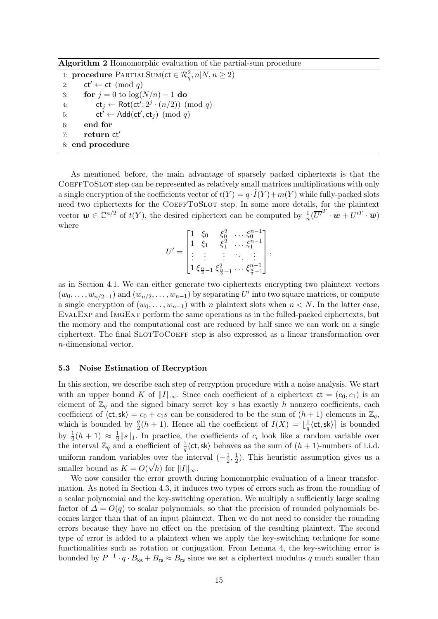Algorithm 2 Homomorphic evaluation of the partial-sum procedure

1: **procedure** PARTIALSUM(ct  $\in \mathcal{R}_q^2$ ,  $n|N, n \geq 2$ ) 2: ct'  $\leftarrow$  ct (mod q) 3: for  $j = 0$  to  $\log(N/n) - 1$  do 4:  $ct_j \leftarrow Rot(ct'; 2^j \cdot (n/2)) \pmod{q}$ 5:  $ct' \leftarrow Add(ct', ct_j) \pmod{q}$ 6: end for 7: return ct' 8: end procedure

As mentioned before, the main advantage of sparsely packed ciphertexts is that the COEFFTOSLOT step can be represented as relatively small matrices multiplications with only a single encryption of the coefficients vector of  $t(Y) = q \cdot \tilde{I}(Y) + m(Y)$  while fully-packed slots need two ciphertexts for the COEFFTOSLOT step. In some more details, for the plaintext vector  $\mathbf{w} \in \mathbb{C}^{n/2}$  of  $t(Y)$ , the desired ciphertext can be computed by  $\frac{1}{n}(\overline{U'}^T \cdot \mathbf{w} + U'^T \cdot \overline{\mathbf{w}})$ where

$$
U' = \begin{bmatrix} 1 & \xi_0 & \xi_0^2 & \dots & \xi_0^{n-1} \\ 1 & \xi_1 & \xi_1^2 & \dots & \xi_1^{n-1} \\ \vdots & \vdots & \vdots & \ddots & \vdots \\ 1 & \xi_{\frac{n}{2}-1} & \xi_{\frac{n}{2}-1}^2 & \dots & \xi_{\frac{n}{2}-1}^{n-1} \end{bmatrix},
$$

as in Section 4.1. We can either generate two ciphertexts encrypting two plaintext vectors  $(w_0, \ldots, w_{n/2-1})$  and  $(w_{n/2}, \ldots, w_{n-1})$  by separating U' into two square matrices, or compute a single encryption of  $(w_0, \ldots, w_{n-1})$  with n plaintext slots when  $n < N$ . In the latter case, EvalExp and ImgExt perform the same operations as in the fulled-packed ciphertexts, but the memory and the computational cost are reduced by half since we can work on a single ciphertext. The final SLOTTOCOEFF step is also expressed as a linear transformation over n-dimensional vector.

#### 5.3 Noise Estimation of Recryption

In this section, we describe each step of recryption procedure with a noise analysis. We start with an upper bound K of  $||I||_{\infty}$ . Since each coefficient of a ciphertext  $ct = (c_0, c_1)$  is an element of  $\mathbb{Z}_q$  and the signed binary secret key s has exactly h nonzero coefficients, each coefficient of  $\langle ct, sk \rangle = c_0 + c_1s$  can be considered to be the sum of  $(h + 1)$  elements in  $\mathbb{Z}_q$ , which is bounded by  $\frac{q}{2}(h+1)$ . Hence all the coefficient of  $I(X) = \lfloor \frac{1}{q} \rfloor$  $\frac{1}{q} \langle ct, sk \rangle$  is bounded by  $\frac{1}{2}(h+1) \approx \frac{1}{2}$  $\frac{1}{2}||s||_1$ . In practice, the coefficients of  $c_i$  look like a random variable over the interval  $\mathbb{Z}_q$  and a coefficient of  $\frac{1}{q}\langle ct, sk \rangle$  behaves as the sum of  $(h + 1)$ -numbers of i.i.d. uniform random variables over the interval  $\left(-\frac{1}{2}\right)$  $\frac{1}{2}, \frac{1}{2}$ s over the interval  $\left(-\frac{1}{2},\frac{1}{2}\right)$ . This heuristic assumption gives us a smaller bound as  $K = O(\sqrt{h})$  for  $||I||_{\infty}$ .

We now consider the error growth during homomorphic evaluation of a linear transformation. As noted in Section 4.3, it induces two types of errors such as from the rounding of a scalar polynomial and the key-switching operation. We multiply a sufficiently large scaling factor of  $\Delta = O(q)$  to scalar polynomials, so that the precision of rounded polynomials becomes larger than that of an input plaintext. Then we do not need to consider the rounding errors because they have no effect on the precision of the resulting plaintext. The second type of error is added to a plaintext when we apply the key-switching technique for some functionalities such as rotation or conjugation. From Lemma 4, the key-switching error is bounded by  $P^{-1} \cdot q \cdot B_{\text{ks}} + B_{\text{rs}} \approx B_{\text{rs}}$  since we set a ciphertext modulus q much smaller than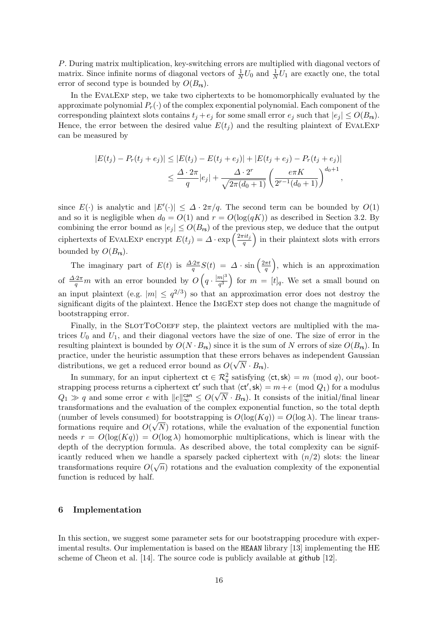P. During matrix multiplication, key-switching errors are multiplied with diagonal vectors of matrix. Since infinite norms of diagonal vectors of  $\frac{1}{N}U_0$  and  $\frac{1}{N}U_1$  are exactly one, the total error of second type is bounded by  $O(B_{\text{rs}})$ .

In the EVALEXP step, we take two ciphertexts to be homomorphically evaluated by the approximate polynomial  $P_r(\cdot)$  of the complex exponential polynomial. Each component of the corresponding plaintext slots contains  $t_j + e_j$  for some small error  $e_j$  such that  $|e_j| \leq O(B_{\text{rs}})$ . Hence, the error between the desired value  $E(t_i)$  and the resulting plaintext of EVALEXP can be measured by

$$
|E(t_j) - P_r(t_j + e_j)| \le |E(t_j) - E(t_j + e_j)| + |E(t_j + e_j) - P_r(t_j + e_j)|
$$
  

$$
\le \frac{\Delta \cdot 2\pi}{q} |e_j| + \frac{\Delta \cdot 2^r}{\sqrt{2\pi(d_0 + 1)}} \left(\frac{e\pi K}{2^{r-1}(d_0 + 1)}\right)^{d_0 + 1},
$$

since  $E(\cdot)$  is analytic and  $|E'(\cdot)| \leq \Delta \cdot 2\pi/q$ . The second term can be bounded by  $O(1)$ and so it is negligible when  $d_0 = O(1)$  and  $r = O(\log(qK))$  as described in Section 3.2. By combining the error bound as  $|e_j| \leq O(B_{\sf rs})$  of the previous step, we deduce that the output ciphertexts of EVALEXP encrypt  $E(t_j) = \Delta \cdot \exp \left( \frac{2\pi i t_j}{q} \right)$  $\left(\frac{q}{q}\right)$  in their plaintext slots with errors bounded by  $O(B_{\text{rs}})$ .

The imaginary part of  $E(t)$  is  $\frac{\Delta \cdot 2\pi}{q} S(t) = \Delta \cdot \sin\left(\frac{2\pi t}{q}\right)$  $\left(\frac{\pi t}{q}\right)$ , which is an approximation of  $\frac{\Delta \cdot 2\pi}{q} m$  with an error bounded by  $O\left(q \cdot \frac{|m|^3}{q^3}\right)$  $\left(\frac{m}{q^3}\right)$  for  $m = [t]_q$ . We set a small bound on an input plaintext (e.g.  $|m| \leq q^{2/3}$ ) so that an approximation error does not destroy the significant digits of the plaintext. Hence the IMGEXT step does not change the magnitude of bootstrapping error.

Finally, in the SLOTTOCOEFF step, the plaintext vectors are multiplied with the matrices  $U_0$  and  $U_1$ , and their diagonal vectors have the size of one. The size of error in the resulting plaintext is bounded by  $O(N \cdot B_{\text{rs}})$  since it is the sum of N errors of size  $O(B_{\text{rs}})$ . In practice, under the heuristic assumption that these errors behaves as independent Gaussian distributions, we get a reduced error bound as  $O(\sqrt{N} \cdot B_{\text{rs}})$ .

In summary, for an input ciphertext  $ct \in \mathcal{R}_q^2$  satisfying  $\langle ct, sk \rangle = m \pmod{q}$ , our bootstrapping process returns a ciphertext  $ct'$  such that  $\langle ct', sk \rangle = m + e \pmod{Q_1}$  for a modulus  $Q_1 \gg q$  and some error e with  $||e||_{\infty}^{\text{can}} \leq O(\sqrt{N} \cdot B_{\text{rs}})$ . It consists of the initial/final linear transformations and the evaluation of the complex exponential function, so the total depth (number of levels consumed) for bootstrapping is  $O(\log(Kq)) = O(\log \lambda)$ . The linear transformations require and  $O(\sqrt{N})$  rotations, while the evaluation of the exponential function needs  $r = O(\log(Kq)) = O(\log \lambda)$  homomorphic multiplications, which is linear with the depth of the decryption formula. As described above, the total complexity can be significantly reduced when we handle a sparsely packed ciphertext with  $(n/2)$  slots: the linear transformations require  $O(\sqrt{n})$  rotations and the evaluation complexity of the exponential function is reduced by half.

## 6 Implementation

In this section, we suggest some parameter sets for our bootstrapping procedure with experimental results. Our implementation is based on the HEAAN library [13] implementing the HE scheme of Cheon et al. [14]. The source code is publicly available at github [12].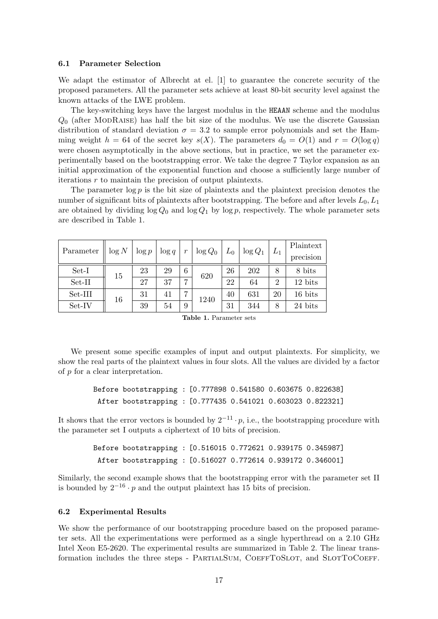#### 6.1 Parameter Selection

We adapt the estimator of Albrecht at el. [1] to guarantee the concrete security of the proposed parameters. All the parameter sets achieve at least 80-bit security level against the known attacks of the LWE problem.

The key-switching keys have the largest modulus in the HEAAN scheme and the modulus  $Q_0$  (after MODRAISE) has half the bit size of the modulus. We use the discrete Gaussian distribution of standard deviation  $\sigma = 3.2$  to sample error polynomials and set the Hamming weight  $h = 64$  of the secret key  $s(X)$ . The parameters  $d_0 = O(1)$  and  $r = O(\log q)$ were chosen asymptotically in the above sections, but in practice, we set the parameter experimentally based on the bootstrapping error. We take the degree 7 Taylor expansion as an initial approximation of the exponential function and choose a sufficiently large number of iterations  $r$  to maintain the precision of output plaintexts.

The parameter  $\log p$  is the bit size of plaintexts and the plaintext precision denotes the number of significant bits of plaintexts after bootstrapping. The before and after levels  $L_0, L_1$ are obtained by dividing  $\log Q_0$  and  $\log Q_1$  by  $\log p$ , respectively. The whole parameter sets are described in Table 1.

| Parameter | $\log N$ | $\log p$ | $\log q$ |   | $\log Q_0$ | $L_0$ | $\log Q_1$ | $L_1$          | Plaintext<br>precision |
|-----------|----------|----------|----------|---|------------|-------|------------|----------------|------------------------|
| Set-I     | 15       | 23       | 29       | 6 | 620        | 26    | 202        | 8              | 8 bits                 |
| Set-II    |          | 27       | 37       | ┍ |            | 22    | 64         | $\overline{2}$ | 12 bits                |
| Set-III   | 16       | 31       | 41       |   | 1240       | 40    | 631        | 20             | 16 bits                |
| Set-IV    |          | 39       | 54       | 9 |            | 31    | 344        | 8              | 24 bits                |

Table 1. Parameter sets

We present some specific examples of input and output plaintexts. For simplicity, we show the real parts of the plaintext values in four slots. All the values are divided by a factor of p for a clear interpretation.

```
Before bootstrapping : [0.777898 0.541580 0.603675 0.822638]
After bootstrapping : [0.777435 0.541021 0.603023 0.822321]
```
It shows that the error vectors is bounded by  $2^{-11} \cdot p$ , i.e., the bootstrapping procedure with the parameter set I outputs a ciphertext of 10 bits of precision.

> Before bootstrapping : [0.516015 0.772621 0.939175 0.345987] After bootstrapping : [0.516027 0.772614 0.939172 0.346001]

Similarly, the second example shows that the bootstrapping error with the parameter set II is bounded by  $2^{-16} \cdot p$  and the output plaintext has 15 bits of precision.

#### 6.2 Experimental Results

We show the performance of our bootstrapping procedure based on the proposed parameter sets. All the experimentations were performed as a single hyperthread on a 2.10 GHz Intel Xeon E5-2620. The experimental results are summarized in Table 2. The linear transformation includes the three steps - PARTIALSUM, COEFFTOSLOT, and SLOTTOCOEFF.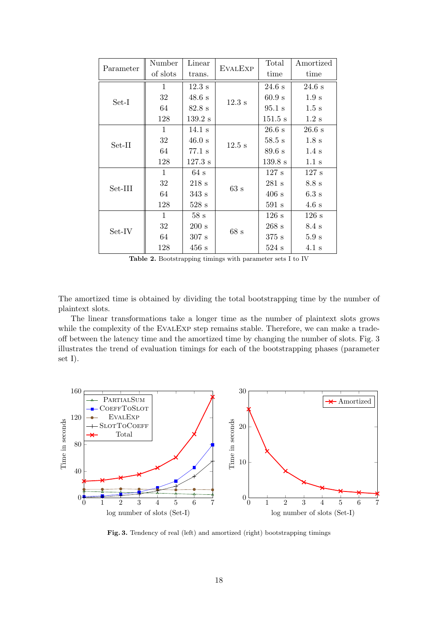| Parameter | Number       | Linear            | <b>EVALEXP</b> | Total             | Amortized        |
|-----------|--------------|-------------------|----------------|-------------------|------------------|
|           | of slots     | trans.            |                | time              | time             |
| $Set-I$   | $\mathbf{1}$ | $12.3$ s          |                | 24.6 s            | 24.6 s           |
|           | 32           | 48.6 s            | $12.3$ s       | 60.9 s            | 1.9 s            |
|           | 64           | $82.8$ s          |                | $95.1$ s          | 1.5 s            |
|           | 128          | $139.2$ s         |                | $151.5$ s         | $1.2~{\rm s}$    |
| Set-II    | $\mathbf{1}$ | $14.1~\mathrm{s}$ |                | 26.6 s            | $26.6$ s         |
|           | 32           | 46.0 s            | $12.5$ s       | $58.5 \mathrm{s}$ | 1.8 s            |
|           | 64           | $77.1$ s          |                | 89.6 s            | $1.4~\mathrm{s}$ |
|           | 128          | $127.3$ s         |                | 139.8 s           | 1.1 s            |
| Set-III   | $\mathbf{1}$ | 64 s              |                | 127 s             | 127 s            |
|           | 32           | 218s              | 63 s           | 281 s             | 8.8 s            |
|           | 64           | 343s              |                | 406 s             | 6.3 s            |
|           | 128          | 528s              |                | 591 s             | 4.6 s            |
| Set-IV    | $\mathbf{1}$ | 58s               |                | 126 s             | 126 s            |
|           | 32           | 200 s             | 68s            | 268 s             | $8.4\text{ s}$   |
|           | 64           | 307 s             |                | 375 s             | 5.9 s            |
|           | 128          | 456 s             |                | 524s              | $4.1~\mathrm{s}$ |

Table 2. Bootstrapping timings with parameter sets I to IV

The amortized time is obtained by dividing the total bootstrapping time by the number of plaintext slots.

The linear transformations take a longer time as the number of plaintext slots grows while the complexity of the EVALEXP step remains stable. Therefore, we can make a tradeoff between the latency time and the amortized time by changing the number of slots. Fig. 3 illustrates the trend of evaluation timings for each of the bootstrapping phases (parameter set I).



Fig. 3. Tendency of real (left) and amortized (right) bootstrapping timings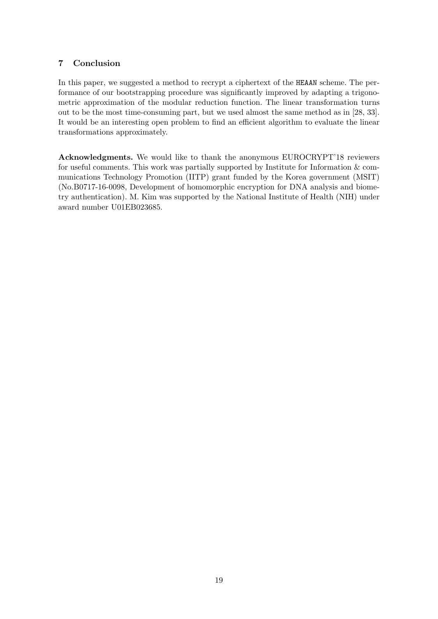## 7 Conclusion

In this paper, we suggested a method to recrypt a ciphertext of the HEAAN scheme. The performance of our bootstrapping procedure was significantly improved by adapting a trigonometric approximation of the modular reduction function. The linear transformation turns out to be the most time-consuming part, but we used almost the same method as in [28, 33]. It would be an interesting open problem to find an efficient algorithm to evaluate the linear transformations approximately.

Acknowledgments. We would like to thank the anonymous EUROCRYPT'18 reviewers for useful comments. This work was partially supported by Institute for Information & communications Technology Promotion (IITP) grant funded by the Korea government (MSIT) (No.B0717-16-0098, Development of homomorphic encryption for DNA analysis and biometry authentication). M. Kim was supported by the National Institute of Health (NIH) under award number U01EB023685.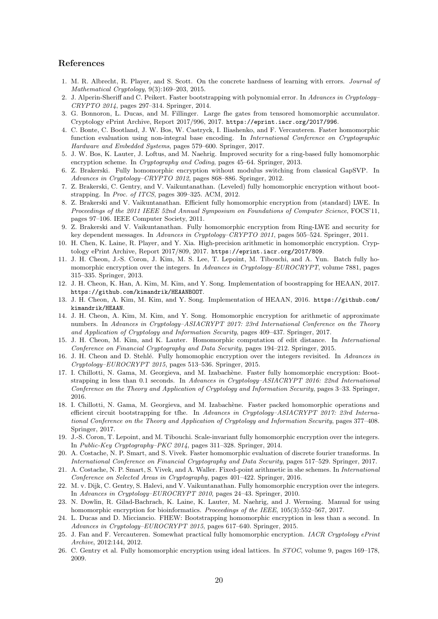#### References

- 1. M. R. Albrecht, R. Player, and S. Scott. On the concrete hardness of learning with errors. Journal of Mathematical Cryptology, 9(3):169–203, 2015.
- 2. J. Alperin-Sheriff and C. Peikert. Faster bootstrapping with polynomial error. In Advances in Cryptology– CRYPTO 2014, pages 297–314. Springer, 2014.
- 3. G. Bonnoron, L. Ducas, and M. Fillinger. Large fhe gates from tensored homomorphic accumulator. Cryptology ePrint Archive, Report 2017/996, 2017. https://eprint.iacr.org/2017/996.
- 4. C. Bonte, C. Bootland, J. W. Bos, W. Castryck, I. Iliashenko, and F. Vercauteren. Faster homomorphic function evaluation using non-integral base encoding. In International Conference on Cryptographic Hardware and Embedded Systems, pages 579–600. Springer, 2017.
- 5. J. W. Bos, K. Lauter, J. Loftus, and M. Naehrig. Improved security for a ring-based fully homomorphic encryption scheme. In Cryptography and Coding, pages 45–64. Springer, 2013.
- 6. Z. Brakerski. Fully homomorphic encryption without modulus switching from classical GapSVP. In Advances in Cryptology–CRYPTO 2012, pages 868–886. Springer, 2012.
- 7. Z. Brakerski, C. Gentry, and V. Vaikuntanathan. (Leveled) fully homomorphic encryption without bootstrapping. In Proc. of ITCS, pages 309–325. ACM, 2012.
- 8. Z. Brakerski and V. Vaikuntanathan. Efficient fully homomorphic encryption from (standard) LWE. In Proceedings of the 2011 IEEE 52nd Annual Symposium on Foundations of Computer Science, FOCS'11, pages 97–106. IEEE Computer Society, 2011.
- 9. Z. Brakerski and V. Vaikuntanathan. Fully homomorphic encryption from Ring-LWE and security for key dependent messages. In Advances in Cryptology–CRYPTO 2011, pages 505–524. Springer, 2011.
- 10. H. Chen, K. Laine, R. Player, and Y. Xia. High-precision arithmetic in homomorphic encryption. Cryptology ePrint Archive, Report 2017/809, 2017. https://eprint.iacr.org/2017/809.
- 11. J. H. Cheon, J.-S. Coron, J. Kim, M. S. Lee, T. Lepoint, M. Tibouchi, and A. Yun. Batch fully homomorphic encryption over the integers. In Advances in Cryptology–EUROCRYPT, volume 7881, pages 315–335. Springer, 2013.
- 12. J. H. Cheon, K. Han, A. Kim, M. Kim, and Y. Song. Implementation of boostrapping for HEAAN, 2017. https://github.com/kimandrik/HEAANBOOT.
- 13. J. H. Cheon, A. Kim, M. Kim, and Y. Song. Implementation of HEAAN, 2016. https://github.com/ kimandrik/HEAAN.
- 14. J. H. Cheon, A. Kim, M. Kim, and Y. Song. Homomorphic encryption for arithmetic of approximate numbers. In Advances in Cryptology–ASIACRYPT 2017: 23rd International Conference on the Theory and Application of Cryptology and Information Security, pages 409–437. Springer, 2017.
- 15. J. H. Cheon, M. Kim, and K. Lauter. Homomorphic computation of edit distance. In International Conference on Financial Cryptography and Data Security, pages 194–212. Springer, 2015.
- 16. J. H. Cheon and D. Stehlé. Fully homomophic encryption over the integers revisited. In Advances in Cryptology–EUROCRYPT 2015, pages 513–536. Springer, 2015.
- 17. I. Chillotti, N. Gama, M. Georgieva, and M. Izabachène. Faster fully homomorphic encryption: Bootstrapping in less than 0.1 seconds. In Advances in Cryptology–ASIACRYPT 2016: 22nd International Conference on the Theory and Application of Cryptology and Information Security, pages 3–33. Springer, 2016.
- 18. I. Chillotti, N. Gama, M. Georgieva, and M. Izabachène. Faster packed homomorphic operations and efficient circuit bootstrapping for tfhe. In Advances in Cryptology–ASIACRYPT 2017: 23rd International Conference on the Theory and Application of Cryptology and Information Security, pages 377–408. Springer, 2017.
- 19. J.-S. Coron, T. Lepoint, and M. Tibouchi. Scale-invariant fully homomorphic encryption over the integers. In Public-Key Cryptography–PKC 2014, pages 311–328. Springer, 2014.
- 20. A. Costache, N. P. Smart, and S. Vivek. Faster homomorphic evaluation of discrete fourier transforms. In International Conference on Financial Cryptography and Data Security, pages 517–529. Springer, 2017.
- 21. A. Costache, N. P. Smart, S. Vivek, and A. Waller. Fixed-point arithmetic in she schemes. In International Conference on Selected Areas in Cryptography, pages 401–422. Springer, 2016.
- 22. M. v. Dijk, C. Gentry, S. Halevi, and V. Vaikuntanathan. Fully homomorphic encryption over the integers. In Advances in Cryptology–EUROCRYPT 2010, pages 24–43. Springer, 2010.
- 23. N. Dowlin, R. Gilad-Bachrach, K. Laine, K. Lauter, M. Naehrig, and J. Wernsing. Manual for using homomorphic encryption for bioinformatics. Proceedings of the IEEE, 105(3):552–567, 2017.
- 24. L. Ducas and D. Micciancio. FHEW: Bootstrapping homomorphic encryption in less than a second. In Advances in Cryptology–EUROCRYPT 2015, pages 617–640. Springer, 2015.
- 25. J. Fan and F. Vercauteren. Somewhat practical fully homomorphic encryption. IACR Cryptology ePrint Archive, 2012:144, 2012.
- 26. C. Gentry et al. Fully homomorphic encryption using ideal lattices. In STOC, volume 9, pages 169–178, 2009.